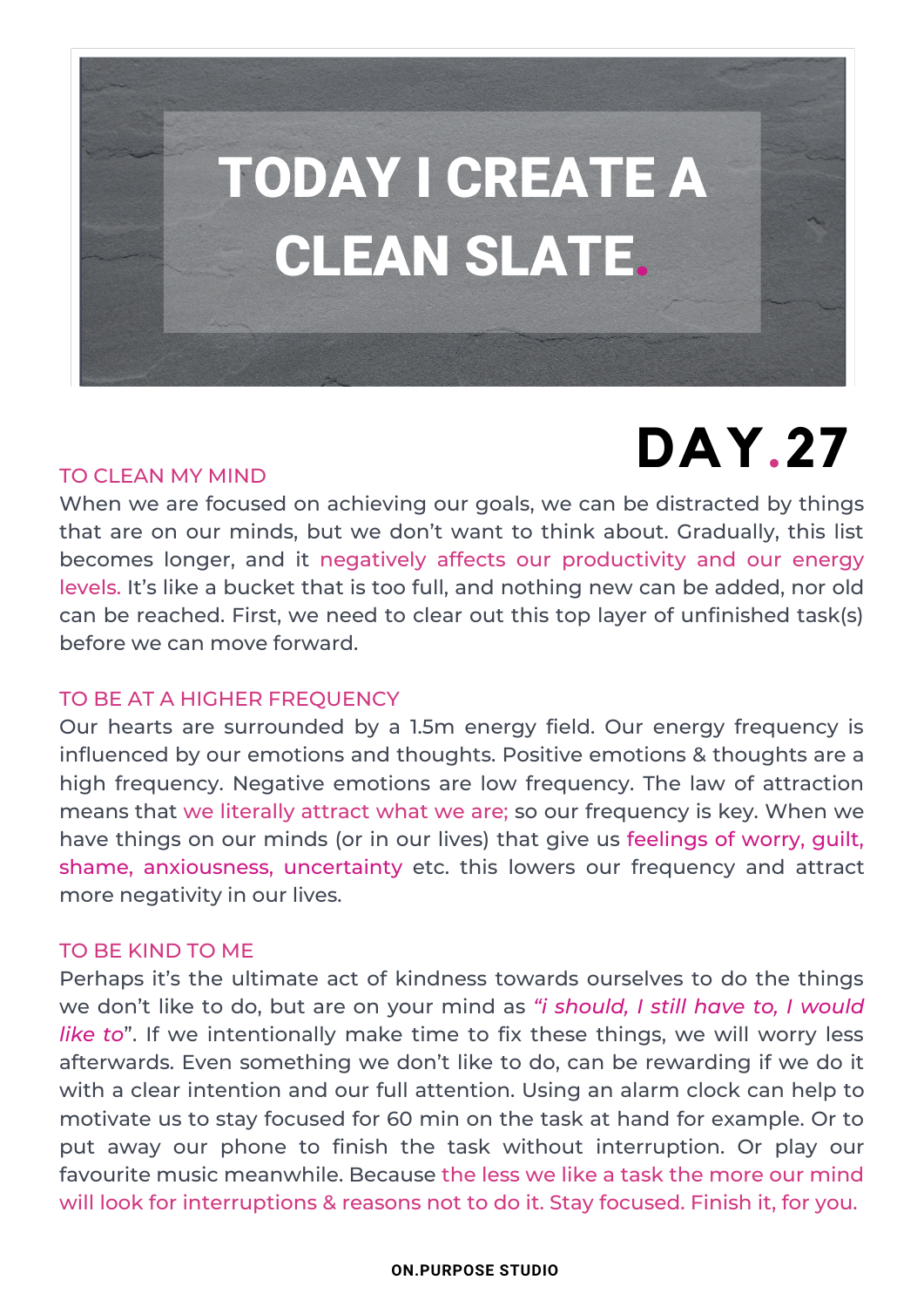

## **DAY.27**

### TO CLEAN MY MIND

When we are focused on achieving our goals, we can be distracted by things that are on our minds, but we don't want to think about. Gradually, this list becomes longer, and it negatively affects our productivity and our energy levels. It's like a bucket that is too full, and nothing new can be added, nor old can be reached. First, we need to clear out this top layer of unfinished task(s) before we can move forward.

### TO BE AT A HIGHER FREQUENCY

Our hearts are surrounded by a 1.5m energy field. Our energy frequency is influenced by our emotions and thoughts. Positive emotions & thoughts are a high frequency. Negative emotions are low frequency. The law of attraction means that we literally attract what we are; so our frequency is key. When we have things on our minds (or in our lives) that give us feelings of worry, guilt, shame, anxiousness, uncertainty etc. this lowers our frequency and attract more negativity in our lives.

### TO BE KIND TO ME

Perhaps it's the ultimate act of kindness towards ourselves to do the things we don't like to do, but are on your mind as *"i should, I still have to, I would like to*". If we intentionally make time to fix these things, we will worry less afterwards. Even something we don't like to do, can be rewarding if we do it with a clear intention and our full attention. Using an alarm clock can help to motivate us to stay focused for 60 min on the task at hand for example. Or to put away our phone to finish the task without interruption. Or play our favourite music meanwhile. Because the less we like a task the more our mind will look for interruptions & reasons not to do it. Stay focused. Finish it, for you.

### **ON.PURPOSE STUDIO**